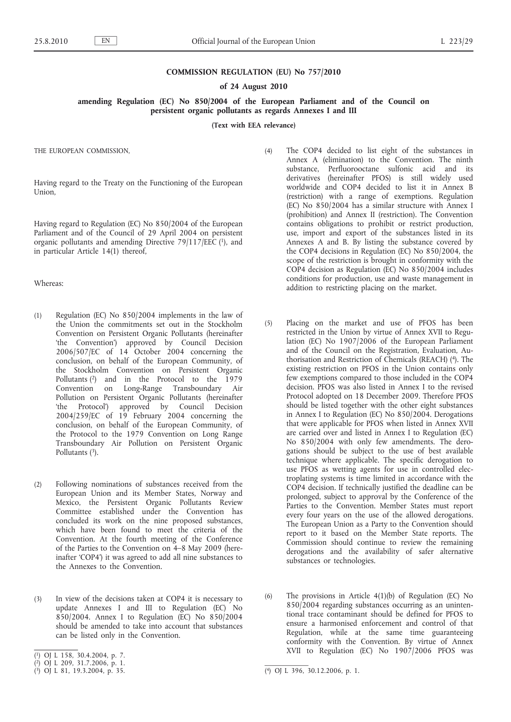#### **COMMISSION REGULATION (EU) No 757/2010**

#### **of 24 August 2010**

### **amending Regulation (EC) No 850/2004 of the European Parliament and of the Council on persistent organic pollutants as regards Annexes I and III**

**(Text with EEA relevance)**

THE EUROPEAN COMMISSION,

Having regard to the Treaty on the Functioning of the European Union,

Having regard to Regulation (EC) No 850/2004 of the European Parliament and of the Council of 29 April 2004 on persistent organic pollutants and amending Directive 79/117/EEC (1), and in particular Article 14(1) thereof,

#### Whereas:

- (1) Regulation (EC) No 850/2004 implements in the law of the Union the commitments set out in the Stockholm Convention on Persistent Organic Pollutants (hereinafter 'the Convention') approved by Council Decision 2006/507/EC of 14 October 2004 concerning the conclusion, on behalf of the European Community, of the Stockholm Convention on Persistent Organic Pollutants (2) and in the Protocol to the 1979 Convention on Long-Range Transboundary Air Pollution on Persistent Organic Pollutants (hereinafter 'the Protocol') approved by Council Decision 2004/259/EC of 19 February 2004 concerning the conclusion, on behalf of the European Community, of the Protocol to the 1979 Convention on Long Range Transboundary Air Pollution on Persistent Organic Pollutants  $(3)$ .
- (2) Following nominations of substances received from the European Union and its Member States, Norway and Mexico, the Persistent Organic Pollutants Review Committee established under the Convention has concluded its work on the nine proposed substances, which have been found to meet the criteria of the Convention. At the fourth meeting of the Conference of the Parties to the Convention on 4–8 May 2009 (hereinafter 'COP4') it was agreed to add all nine substances to the Annexes to the Convention.
- (3) In view of the decisions taken at COP4 it is necessary to update Annexes I and III to Regulation (EC) No 850/2004. Annex I to Regulation (EC) No 850/2004 should be amended to take into account that substances can be listed only in the Convention.
- (4) The COP4 decided to list eight of the substances in Annex A (elimination) to the Convention. The ninth substance, Perfluorooctane sulfonic acid and its derivatives (hereinafter PFOS) is still widely used worldwide and COP4 decided to list it in Annex B (restriction) with a range of exemptions. Regulation (EC) No 850/2004 has a similar structure with Annex I (prohibition) and Annex II (restriction). The Convention contains obligations to prohibit or restrict production, use, import and export of the substances listed in its Annexes A and B. By listing the substance covered by the COP4 decisions in Regulation (EC) No 850/2004, the scope of the restriction is brought in conformity with the COP4 decision as Regulation (EC) No 850/2004 includes conditions for production, use and waste management in addition to restricting placing on the market.
- (5) Placing on the market and use of PFOS has been restricted in the Union by virtue of Annex XVII to Regulation (EC) No 1907/2006 of the European Parliament and of the Council on the Registration, Evaluation, Authorisation and Restriction of Chemicals (REACH) (4). The existing restriction on PFOS in the Union contains only few exemptions compared to those included in the COP4 decision. PFOS was also listed in Annex I to the revised Protocol adopted on 18 December 2009. Therefore PFOS should be listed together with the other eight substances in Annex I to Regulation (EC) No 850/2004. Derogations that were applicable for PFOS when listed in Annex XVII are carried over and listed in Annex I to Regulation (EC) No 850/2004 with only few amendments. The derogations should be subject to the use of best available technique where applicable. The specific derogation to use PFOS as wetting agents for use in controlled electroplating systems is time limited in accordance with the COP4 decision. If technically justified the deadline can be prolonged, subject to approval by the Conference of the Parties to the Convention. Member States must report every four years on the use of the allowed derogations. The European Union as a Party to the Convention should report to it based on the Member State reports. The Commission should continue to review the remaining derogations and the availability of safer alternative substances or technologies.
- (6) The provisions in Article 4(1)(b) of Regulation (EC) No 850/2004 regarding substances occurring as an unintentional trace contaminant should be defined for PFOS to ensure a harmonised enforcement and control of that Regulation, while at the same time guaranteeing conformity with the Convention. By virtue of Annex XVII to Regulation (EC) No 1907/2006 PFOS was

<sup>(</sup> 1) OJ L 158, 30.4.2004, p. 7.

<sup>(</sup> 2) OJ L 209, 31.7.2006, p. 1.

 $(3)$  OJ L 81, 19.3.2004, p. 35.

<sup>(4)</sup> OJ L 396, 30.12.2006, p. 1.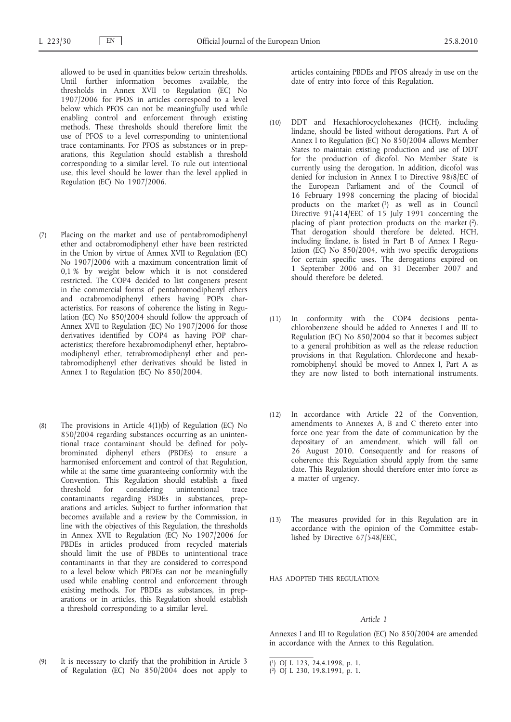allowed to be used in quantities below certain thresholds. Until further information becomes available, the thresholds in Annex XVII to Regulation (EC) No 1907/2006 for PFOS in articles correspond to a level below which PFOS can not be meaningfully used while enabling control and enforcement through existing methods. These thresholds should therefore limit the use of PFOS to a level corresponding to unintentional trace contaminants. For PFOS as substances or in preparations, this Regulation should establish a threshold corresponding to a similar level. To rule out intentional use, this level should be lower than the level applied in Regulation (EC) No 1907/2006.

- (7) Placing on the market and use of pentabromodiphenyl ether and octabromodiphenyl ether have been restricted in the Union by virtue of Annex XVII to Regulation (EC) No 1907/2006 with a maximum concentration limit of 0,1 % by weight below which it is not considered restricted. The COP4 decided to list congeners present in the commercial forms of pentabromodiphenyl ethers and octabromodiphenyl ethers having POPs characteristics. For reasons of coherence the listing in Regulation (EC) No 850/2004 should follow the approach of Annex XVII to Regulation (EC) No 1907/2006 for those derivatives identified by COP4 as having POP characteristics; therefore hexabromodiphenyl ether, heptabromodiphenyl ether, tetrabromodiphenyl ether and pentabromodiphenyl ether derivatives should be listed in Annex I to Regulation (EC) No 850/2004.
- (8) The provisions in Article 4(1)(b) of Regulation (EC) No 850/2004 regarding substances occurring as an unintentional trace contaminant should be defined for polybrominated diphenyl ethers (PBDEs) to ensure a harmonised enforcement and control of that Regulation, while at the same time guaranteeing conformity with the Convention. This Regulation should establish a fixed threshold for considering unintentional trace contaminants regarding PBDEs in substances, preparations and articles. Subject to further information that becomes available and a review by the Commission, in line with the objectives of this Regulation, the thresholds in Annex XVII to Regulation (EC) No 1907/2006 for PBDEs in articles produced from recycled materials should limit the use of PBDEs to unintentional trace contaminants in that they are considered to correspond to a level below which PBDEs can not be meaningfully used while enabling control and enforcement through existing methods. For PBDEs as substances, in preparations or in articles, this Regulation should establish a threshold corresponding to a similar level.

articles containing PBDEs and PFOS already in use on the date of entry into force of this Regulation.

- (10) DDT and Hexachlorocyclohexanes (HCH), including lindane, should be listed without derogations. Part A of Annex I to Regulation (EC) No 850/2004 allows Member States to maintain existing production and use of DDT for the production of dicofol. No Member State is currently using the derogation. In addition, dicofol was denied for inclusion in Annex I to Directive 98/8/EC of the European Parliament and of the Council of 16 February 1998 concerning the placing of biocidal products on the market (1) as well as in Council Directive 91/414/EEC of 15 July 1991 concerning the placing of plant protection products on the market (2). That derogation should therefore be deleted. HCH, including lindane, is listed in Part B of Annex I Regulation (EC) No 850/2004, with two specific derogations for certain specific uses. The derogations expired on 1 September 2006 and on 31 December 2007 and should therefore be deleted.
- (11) In conformity with the COP4 decisions pentachlorobenzene should be added to Annexes I and III to Regulation (EC) No 850/2004 so that it becomes subject to a general prohibition as well as the release reduction provisions in that Regulation. Chlordecone and hexabromobiphenyl should be moved to Annex I, Part A as they are now listed to both international instruments.
- (12) In accordance with Article 22 of the Convention, amendments to Annexes A, B and C thereto enter into force one year from the date of communication by the depositary of an amendment, which will fall on 26 August 2010. Consequently and for reasons of coherence this Regulation should apply from the same date. This Regulation should therefore enter into force as a matter of urgency.
- (13) The measures provided for in this Regulation are in accordance with the opinion of the Committee established by Directive 67/548/EEC,

HAS ADOPTED THIS REGULATION:

## *Article 1*

Annexes I and III to Regulation (EC) No 850/2004 are amended in accordance with the Annex to this Regulation.

<sup>(9)</sup> It is necessary to clarify that the prohibition in Article 3 of Regulation (EC) No 850/2004 does not apply to

<sup>(</sup> 1) OJ L 123, 24.4.1998, p. 1.

<sup>(</sup> 2) OJ L 230, 19.8.1991, p. 1.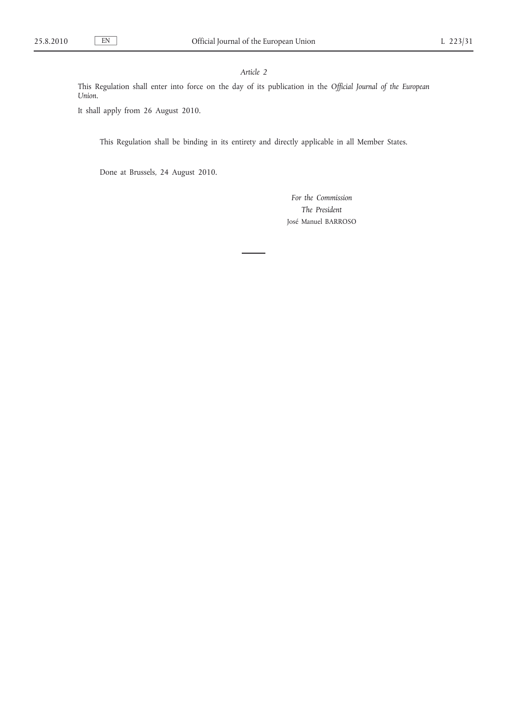## *Article 2*

This Regulation shall enter into force on the day of its publication in the *Official Journal of the European Union*.

It shall apply from 26 August 2010.

This Regulation shall be binding in its entirety and directly applicable in all Member States.

Done at Brussels, 24 August 2010.

*For the Commission The President* José Manuel BARROSO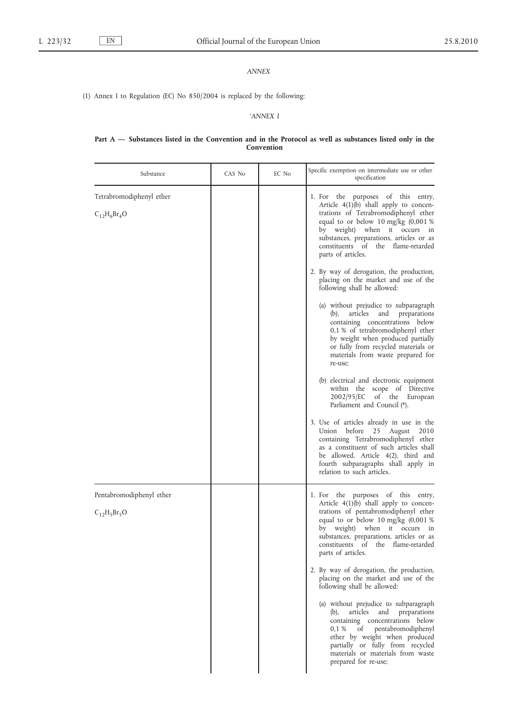# *ANNEX*

(1) Annex I to Regulation (EC) No 850/2004 is replaced by the following:

# *'ANNEX I*

### **Part A — Substances listed in the Convention and in the Protocol as well as substances listed only in the Convention**

| Substance                                    | CAS No | EC No | Specific exemption on intermediate use or other<br>specification                                                                                                                                                                                                                                                                                                                                                                                                                                                                                                                                                                                                                                                     |
|----------------------------------------------|--------|-------|----------------------------------------------------------------------------------------------------------------------------------------------------------------------------------------------------------------------------------------------------------------------------------------------------------------------------------------------------------------------------------------------------------------------------------------------------------------------------------------------------------------------------------------------------------------------------------------------------------------------------------------------------------------------------------------------------------------------|
| Tetrabromodiphenyl ether<br>$C_{12}H_6Br_4O$ |        |       | 1. For the purposes of this entry,<br>Article $4(1)(b)$ shall apply to concen-<br>trations of Tetrabromodiphenyl ether<br>equal to or below 10 mg/kg (0,001 %<br>by weight) when it occurs in<br>substances, preparations, articles or as<br>constituents of the flame-retarded<br>parts of articles.<br>2. By way of derogation, the production,<br>placing on the market and use of the<br>following shall be allowed:<br>(a) without prejudice to subparagraph<br>articles<br>and<br>preparations<br>(b),<br>containing concentrations below<br>0,1 % of tetrabromodiphenyl ether<br>by weight when produced partially<br>or fully from recycled materials or<br>materials from waste prepared for<br>re-use;     |
|                                              |        |       | (b) electrical and electronic equipment<br>within the scope of Directive<br>2002/95/EC of the European<br>Parliament and Council (*).<br>3. Use of articles already in use in the<br>before<br>Union<br>25<br>August<br>2010<br>containing Tetrabromodiphenyl ether<br>as a constituent of such articles shall<br>be allowed. Article 4(2), third and<br>fourth subparagraphs shall apply in<br>relation to such articles.                                                                                                                                                                                                                                                                                           |
| Pentabromodiphenyl ether<br>$C_{12}H_5Br_5O$ |        |       | 1. For the purposes of this entry,<br>Article 4(1)(b) shall apply to concen-<br>trations of pentabromodiphenyl ether<br>equal to or below 10 mg/kg (0,001 %<br>by weight) when it occurs in<br>substances, preparations, articles or as<br>constituents of the flame-retarded<br>parts of articles.<br>2. By way of derogation, the production,<br>placing on the market and use of the<br>following shall be allowed:<br>(a) without prejudice to subparagraph<br>articles<br>and<br>preparations<br>$(b)$ ,<br>containing concentrations below<br>of pentabromodiphenyl<br>0,1 %<br>ether by weight when produced<br>partially or fully from recycled<br>materials or materials from waste<br>prepared for re-use; |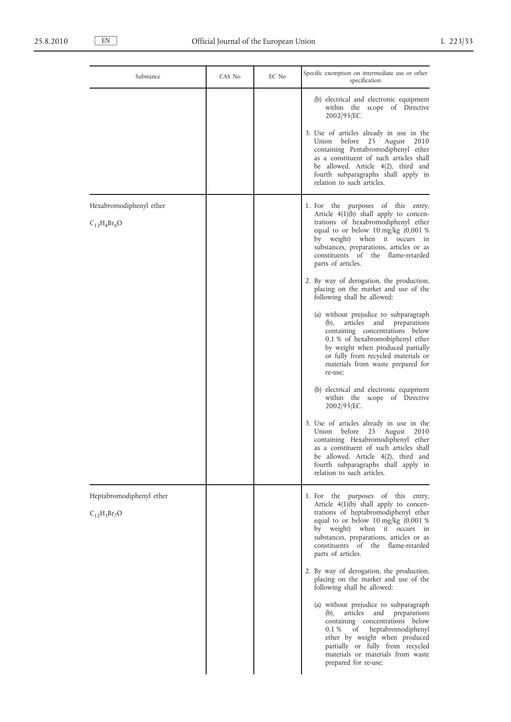| Substance                                   | CAS No | EC No | Specific exemption on intermediate use or other<br>specification                                                                                                                                                                                                                                        |
|---------------------------------------------|--------|-------|---------------------------------------------------------------------------------------------------------------------------------------------------------------------------------------------------------------------------------------------------------------------------------------------------------|
|                                             |        |       | (b) electrical and electronic equipment<br>within the scope of Directive<br>2002/95/EC.                                                                                                                                                                                                                 |
|                                             |        |       | 3. Use of articles already in use in the<br>Union before<br>25 August<br>2010<br>containing Pentabromodiphenyl ether<br>as a constituent of such articles shall<br>be allowed. Article 4(2), third and<br>fourth subparagraphs shall apply in<br>relation to such articles.                             |
| Hexabromodiphenyl ether<br>$C_{12}H_4Br_6O$ |        |       | 1. For the purposes of this entry,<br>Article $4(1)(b)$ shall apply to concen-<br>trations of hexabromodiphenyl ether<br>equal to or below 10 mg/kg $(0,001\%)$<br>by weight) when it occurs in<br>substances, preparations, articles or as<br>constituents of the flame-retarded<br>parts of articles. |
|                                             |        |       | 2. By way of derogation, the production,<br>placing on the market and use of the<br>following shall be allowed:                                                                                                                                                                                         |
|                                             |        |       | (a) without prejudice to subparagraph<br>articles<br>and<br>preparations<br>$(b)$ ,<br>containing concentrations below<br>0,1 % of hexabromobiphenyl ether<br>by weight when produced partially<br>or fully from recycled materials or<br>materials from waste prepared for<br>re-use;                  |
|                                             |        |       | (b) electrical and electronic equipment<br>within the scope of Directive<br>2002/95/EC.                                                                                                                                                                                                                 |
|                                             |        |       | 3. Use of articles already in use in the<br>before 25 August<br>Union<br>2010<br>containing Hexabromodiphenyl ether<br>as a constituent of such articles shall<br>be allowed. Article 4(2), third and<br>fourth subparagraphs shall apply in<br>relation to such articles.                              |
| Heptabromodiphenyl ether                    |        |       | 1. For the purposes of this entry,                                                                                                                                                                                                                                                                      |
| $C_{12}H_3Br_7O$                            |        |       | Article 4(1)(b) shall apply to concen-<br>trations of heptabromodiphenyl ether<br>equal to or below 10 mg/kg (0,001 %<br>by weight) when it occurs in<br>substances, preparations, articles or as<br>constituents of the flame-retarded<br>parts of articles.                                           |
|                                             |        |       | 2. By way of derogation, the production,<br>placing on the market and use of the<br>following shall be allowed:                                                                                                                                                                                         |
|                                             |        |       | (a) without prejudice to subparagraph<br>articles<br>and<br>preparations<br>(b),<br>containing concentrations below<br>0,1%<br>of heptabromodiphenyl<br>ether by weight when produced<br>partially or fully from recycled<br>materials or materials from waste<br>prepared for re-use;                  |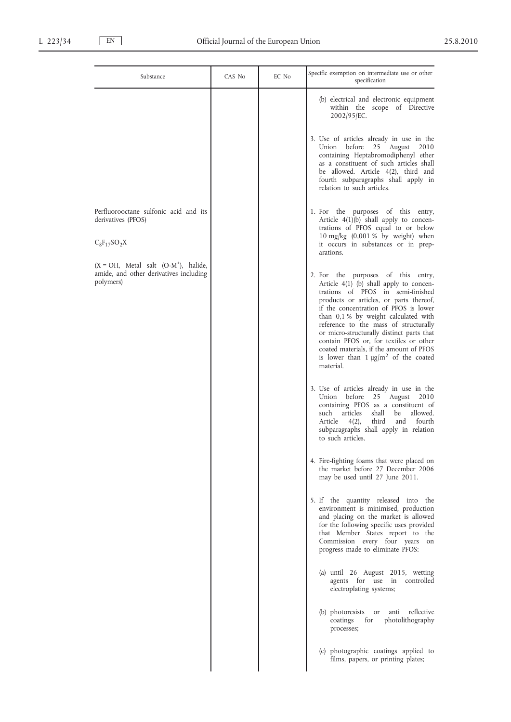| Substance                                                                                    | CAS No | EC No | Specific exemption on intermediate use or other<br>specification                                                                                                                                                                                                                                                                                                                                                                                                                      |
|----------------------------------------------------------------------------------------------|--------|-------|---------------------------------------------------------------------------------------------------------------------------------------------------------------------------------------------------------------------------------------------------------------------------------------------------------------------------------------------------------------------------------------------------------------------------------------------------------------------------------------|
|                                                                                              |        |       | (b) electrical and electronic equipment<br>within the scope of Directive<br>2002/95/EC.                                                                                                                                                                                                                                                                                                                                                                                               |
|                                                                                              |        |       | 3. Use of articles already in use in the<br>Union<br>before<br>25<br>August<br>2010<br>containing Heptabromodiphenyl ether<br>as a constituent of such articles shall<br>be allowed. Article 4(2), third and<br>fourth subparagraphs shall apply in<br>relation to such articles.                                                                                                                                                                                                     |
| Perfluorooctane sulfonic acid and its<br>derivatives (PFOS)<br>$C_8F_{17}SO_2X$              |        |       | 1. For the purposes of this entry,<br>Article $4(1)(b)$ shall apply to concen-<br>trations of PFOS equal to or below<br>10 mg/kg $(0,001\%$ by weight) when<br>it occurs in substances or in prep-<br>arations.                                                                                                                                                                                                                                                                       |
| $(X = OH, Metal salt (O-M+), halide,$<br>amide, and other derivatives including<br>polymers) |        |       | 2. For the purposes of this entry,<br>Article $4(1)$ (b) shall apply to concen-<br>trations of PFOS in semi-finished<br>products or articles, or parts thereof,<br>if the concentration of PFOS is lower<br>than 0,1 % by weight calculated with<br>reference to the mass of structurally<br>or micro-structurally distinct parts that<br>contain PFOS or, for textiles or other<br>coated materials, if the amount of PFOS<br>is lower than $1 \mu g/m^2$ of the coated<br>material. |
|                                                                                              |        |       | 3. Use of articles already in use in the<br>before<br>25 August<br>Union<br>2010<br>containing PFOS as a constituent of<br>allowed.<br>such<br>articles<br>shall<br>be<br>4(2),<br>third<br>fourth<br>Article<br>and<br>subparagraphs shall apply in relation<br>to such articles.                                                                                                                                                                                                    |
|                                                                                              |        |       | 4. Fire-fighting foams that were placed on<br>the market before 27 December 2006<br>may be used until 27 June 2011.                                                                                                                                                                                                                                                                                                                                                                   |
|                                                                                              |        |       | 5. If the quantity released into the<br>environment is minimised, production<br>and placing on the market is allowed<br>for the following specific uses provided<br>that Member States report to the<br>Commission every four years<br>on<br>progress made to eliminate PFOS:                                                                                                                                                                                                         |
|                                                                                              |        |       | (a) until 26 August 2015, wetting<br>agents for use in controlled<br>electroplating systems;                                                                                                                                                                                                                                                                                                                                                                                          |
|                                                                                              |        |       | (b) photoresists<br>anti reflective<br><b>or</b><br>coatings<br>photolithography<br>for<br>processes;                                                                                                                                                                                                                                                                                                                                                                                 |
|                                                                                              |        |       | (c) photographic coatings applied to<br>films, papers, or printing plates;                                                                                                                                                                                                                                                                                                                                                                                                            |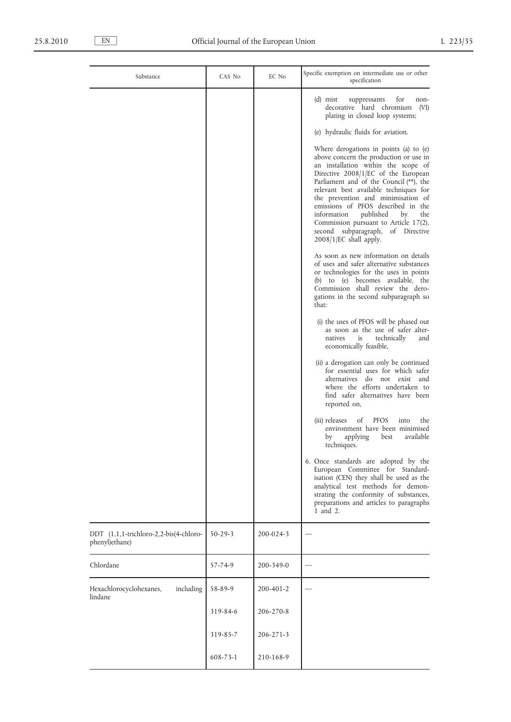| Substance                                                | CAS No         | EC No           | Specific exemption on intermediate use or other<br>specification                                                                                                                                                                                                                                                                                                                                                                                                                     |
|----------------------------------------------------------|----------------|-----------------|--------------------------------------------------------------------------------------------------------------------------------------------------------------------------------------------------------------------------------------------------------------------------------------------------------------------------------------------------------------------------------------------------------------------------------------------------------------------------------------|
|                                                          |                |                 | (d) mist<br>for<br>suppressants<br>non-<br>decorative hard chromium<br>(VI)<br>plating in closed loop systems;                                                                                                                                                                                                                                                                                                                                                                       |
|                                                          |                |                 | (e) hydraulic fluids for aviation.                                                                                                                                                                                                                                                                                                                                                                                                                                                   |
|                                                          |                |                 | Where derogations in points (a) to $(e)$<br>above concern the production or use in<br>an installation within the scope of<br>Directive 2008/1/EC of the European<br>Parliament and of the Council (**), the<br>relevant best available techniques for<br>the prevention and minimisation of<br>emissions of PFOS described in the<br>information<br>published<br>by<br>the<br>Commission pursuant to Article 17(2),<br>second subparagraph, of Directive<br>$2008/1/EC$ shall apply. |
|                                                          |                |                 | As soon as new information on details<br>of uses and safer alternative substances<br>or technologies for the uses in points<br>(b) to (e) becomes available, the<br>Commission shall review the dero-<br>gations in the second subparagraph so<br>that:                                                                                                                                                                                                                              |
|                                                          |                |                 | (i) the uses of PFOS will be phased out<br>as soon as the use of safer alter-<br>is<br>technically<br>natives<br>and<br>economically feasible,                                                                                                                                                                                                                                                                                                                                       |
|                                                          |                |                 | (ii) a derogation can only be continued<br>for essential uses for which safer<br>alternatives do not exist and<br>where the efforts undertaken to<br>find safer alternatives have been<br>reported on,                                                                                                                                                                                                                                                                               |
|                                                          |                |                 | <b>PFOS</b><br>the<br>(iii) releases<br>οf<br>into<br>environment have been minimised<br>available<br>applying<br>best<br>by<br>techniques.                                                                                                                                                                                                                                                                                                                                          |
|                                                          |                |                 | 6. Once standards are adopted by the<br>European Committee for Standard-<br>isation (CEN) they shall be used as the<br>analytical test methods for demon-<br>strating the conformity of substances,<br>preparations and articles to paragraphs<br>1 and 2.                                                                                                                                                                                                                           |
| DDT (1,1,1-trichloro-2,2-bis(4-chloro-<br>phenyl)ethane) | $50 - 29 - 3$  | 200-024-3       |                                                                                                                                                                                                                                                                                                                                                                                                                                                                                      |
| Chlordane                                                | 57-74-9        | 200-349-0       |                                                                                                                                                                                                                                                                                                                                                                                                                                                                                      |
| including<br>Hexachlorocyclohexanes,<br>lindane          | 58-89-9        | 200-401-2       |                                                                                                                                                                                                                                                                                                                                                                                                                                                                                      |
|                                                          | 319-84-6       | 206-270-8       |                                                                                                                                                                                                                                                                                                                                                                                                                                                                                      |
|                                                          | 319-85-7       | $206 - 271 - 3$ |                                                                                                                                                                                                                                                                                                                                                                                                                                                                                      |
|                                                          | $608 - 73 - 1$ | 210-168-9       |                                                                                                                                                                                                                                                                                                                                                                                                                                                                                      |